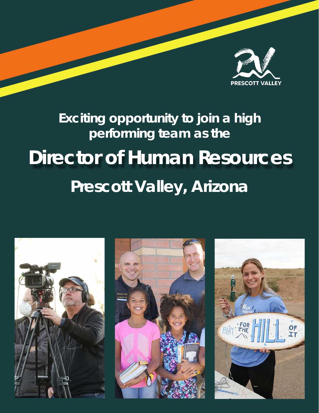

# **Prescott Valley, Arizona Exciting opportunity to join a high performing team as the Director of Human Resources**





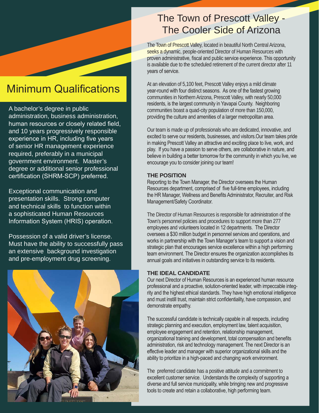## Minimum Qualifications

A bachelor's degree in public administration, business administration, human resources or closely related field, and 10 years progressively responsible experience in HR, including five years of senior HR management experience required, preferably in a municipal government environment. Master's degree or additional senior professional certification (SHRM-SCP) preferred.

Exceptional communication and presentation skills. Strong computer and technical skills to function within a sophisticated Human Resources Information System (HRIS) operation.

Possession of a valid driver's license. Must have the ability to successfully pass an extensive background investigation and pre-employment drug screening.



### The Town of Prescott Valley - The Cooler Side of Arizona

The Town of Prescott Valley, located in beautiful North Central Arizona, seeks a dynamic, people-oriented Director of Human Resources with proven administrative, fiscal and public service experience. This opportunity is available due to the scheduled retirement of the current director after 11 years of service.

At an elevation of 5,100 feet, Prescott Valley enjoys a mild climate year-round with four distinct seasons. As one of the fastest growing communities in Northern Arizona, Prescott Valley, with nearly 50,000 residents, is the largest community in Yavapai County. Neighboring communities boast a quad-city population of more than 150,000, providing the culture and amenities of a larger metropolitan area.

Our team is made up of professionals who are dedicated, innovative, and excited to serve our residents, businesses, and visitors.Our team takes pride in making Prescott Valley an attractive and exciting place to live, work, and play. If you have a passion to serve others, are collaborative in nature, and believe in building a better tomorrow for the community in which you live, we encourage you to consider joining our team!

#### **THE POSITION**

Reporting to the Town Manager, the Director oversees the Human Resources department, comprised of five full-time employees, including the HR Manager, Wellness and Benefits Administrator, Recruiter, and Risk Management/Safety Coordinator.

The Director of Human Resources is responsible for administration of the Town's personnel policies and procedures to support more than 277 employees and volunteers located in 12 departments. The Director oversees a \$30 million budget in personnel services and operations, and works in partnership with the Town Manager's team to support a vision and strategic plan that encourages service excellence within a high performing team environment. The Director ensures the organization accomplishes its annual goals and initiatives in outstanding service to its residents.

### **THE IDEAL CANDIDATE**

Our next Director of Human Resources is an experienced human resource professional and a proactive, solution-oriented leader, with impeccable integrity and the highest ethical standards. They have high emotional intelligence and must instill trust, maintain strict confidentiality, have compassion, and demonstrate empathy.

The successful candidate is technically capable in all respects, including strategic planning and execution, employment law, talent acquisition, employee engagement and retention, relationship management, organizational training and development, total compensation and benefits administration, risk and technology management. The next Director is an effective leader and manager with superior organizational skills and the ability to prioritize in a high-paced and changing work environment.

The preferred candidate has a positive attitude and a commitment to excellent customer service. Understands the complexity of supporting a diverse and full service municipality, while bringing new and progressive tools to create and retain a collaborative, high performing team.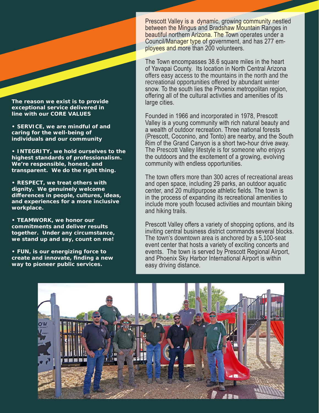

**The reason we exist is to provide exceptional service delivered in line with our CORE VALUES**

**• SERVICE, we are mindful of and caring for the well-being of individuals and our community**

**• INTEGRITY, we hold ourselves to the highest standards of professionalism. We're responsible, honest, and transparent. We do the right thing.**

**• RESPECT, we treat others with dignity. We genuinely welcome differences in people, cultures, ideas, and experiences for a more inclusive workplace.**

**• TEAMWORK, we honor our commitments and deliver results together. Under any circumstance, we stand up and say, count on me!**

**• FUN, is our energizing force to create and innovate, finding a new way to pioneer public services.**

Prescott Valley is a dynamic, growing community nestled between the Mingus and Bradshaw Mountain Ranges in beautiful northern Arizona. The Town operates under a Council/Manager type of government, and has 277 employees and more than 200 volunteers.

The Town encompasses 38.6 square miles in the heart of Yavapai County. Its location in North Central Arizona offers easy access to the mountains in the north and the recreational opportunities offered by abundant winter snow. To the south lies the Phoenix metropolitan region, offering all of the cultural activities and amenities of its large cities.

Founded in 1966 and incorporated in 1978, Prescott Valley is a young community with rich natural beauty and a wealth of outdoor recreation. Three national forests (Prescott, Coconino, and Tonto) are nearby, and the South Rim of the Grand Canyon is a short two-hour drive away. The Prescott Valley lifestyle is for someone who enjoys the outdoors and the excitement of a growing, evolving community with endless opportunities.

The town offers more than 300 acres of recreational areas and open space, including 29 parks, an outdoor aquatic center, and 20 multipurpose athletic fields. The town is in the process of expanding its recreational amenities to include more youth focused activities and mountain biking and hiking trails.

Prescott Valley offers a variety of shopping options, and its inviting central business district commands several blocks. The town's downtown area is anchored by a 5,100-seat event center that hosts a variety of exciting concerts and events. The town is served by Prescott Regional Airport, and Phoenix Sky Harbor International Airport is within easy driving distance.